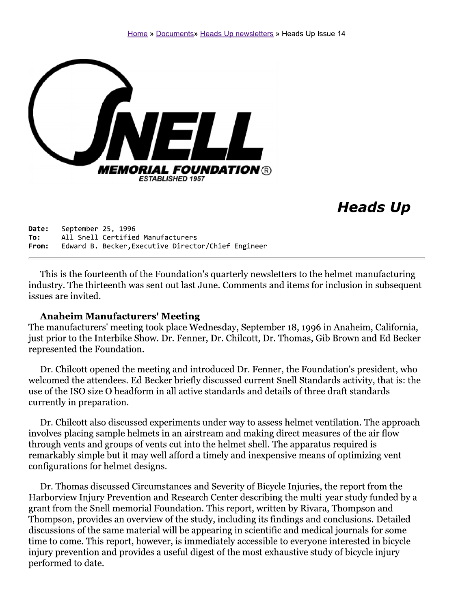

# **Heads Up**

September 25, 1996 Date: All Snell Certified Manufacturers To: Edward B. Becker, Executive Director/Chief Engineer From:

This is the fourteenth of the Foundation's quarterly newsletters to the helmet manufacturing industry. The thirteenth was sent out last June. Comments and items for inclusion in subsequent issues are invited.

#### **Anaheim Manufacturers' Meeting**

The manufacturers' meeting took place Wednesday, September 18, 1996 in Anaheim, California, just prior to the Interbike Show. Dr. Fenner, Dr. Chilcott, Dr. Thomas, Gib Brown and Ed Becker represented the Foundation.

Dr. Chilcott opened the meeting and introduced Dr. Fenner, the Foundation's president, who welcomed the attendees. Ed Becker briefly discussed current Snell Standards activity, that is: the use of the ISO size O headform in all active standards and details of three draft standards currently in preparation.

Dr. Chilcott also discussed experiments under way to assess helmet ventilation. The approach involves placing sample helmets in an airstream and making direct measures of the air flow through vents and groups of vents cut into the helmet shell. The apparatus required is remarkably simple but it may well afford a timely and inexpensive means of optimizing vent configurations for helmet designs.

Dr. Thomas discussed Circumstances and Severity of Bicycle Injuries, the report from the Harborview Injury Prevention and Research Center describing the multi-year study funded by a grant from the Snell memorial Foundation. This report, written by Rivara, Thompson and Thompson, provides an overview of the study, including its findings and conclusions. Detailed discussions of the same material will be appearing in scientific and medical journals for some time to come. This report, however, is immediately accessible to everyone interested in bicycle injury prevention and provides a useful digest of the most exhaustive study of bicycle injury performed to date.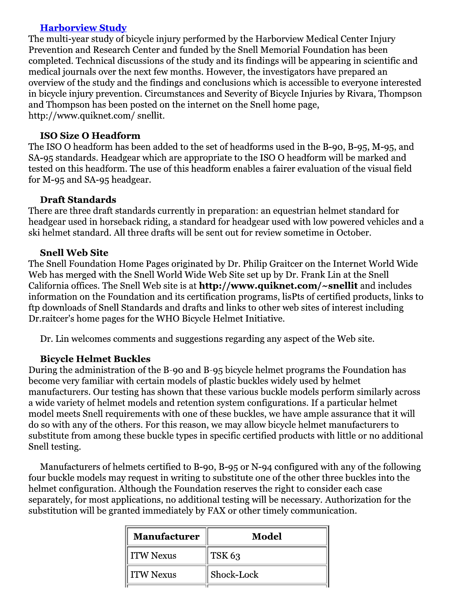#### **Harborview Study**

The multi-year study of bicycle injury performed by the Harborview Medical Center Injury Prevention and Research Center and funded by the Snell Memorial Foundation has been completed. Technical discussions of the study and its findings will be appearing in scientific and medical journals over the next few months. However, the investigators have prepared an overview of the study and the findings and conclusions which is accessible to everyone interested in bicycle injury prevention. Circumstances and Severity of Bicycle Injuries by Rivara, Thompson and Thompson has been posted on the internet on the Snell home page, http://www.quiknet.com/snellit.

#### **ISO Size O Headform**

The ISO O headform has been added to the set of headforms used in the B-90, B-95, M-95, and SA-95 standards. Headgear which are appropriate to the ISO O headform will be marked and tested on this headform. The use of this headform enables a fairer evaluation of the visual field for M-95 and SA-95 headgear.

#### **Draft Standards**

There are three draft standards currently in preparation: an equestrian helmet standard for headgear used in horseback riding, a standard for headgear used with low powered vehicles and a ski helmet standard. All three drafts will be sent out for review sometime in October.

#### **Snell Web Site**

The Snell Foundation Home Pages originated by Dr. Philip Graitcer on the Internet World Wide Web has merged with the Snell World Wide Web Site set up by Dr. Frank Lin at the Snell California offices. The Snell Web site is at http://www.quiknet.com/~snellit and includes information on the Foundation and its certification programs, lisPts of certified products, links to ftp downloads of Snell Standards and drafts and links to other web sites of interest including Dr.raitcer's home pages for the WHO Bicycle Helmet Initiative.

Dr. Lin welcomes comments and suggestions regarding any aspect of the Web site.

#### **Bicycle Helmet Buckles**

During the administration of the B-90 and B-95 bicycle helmet programs the Foundation has become very familiar with certain models of plastic buckles widely used by helmet manufacturers. Our testing has shown that these various buckle models perform similarly across a wide variety of helmet models and retention system configurations. If a particular helmet model meets Snell requirements with one of these buckles, we have ample assurance that it will do so with any of the others. For this reason, we may allow bicycle helmet manufacturers to substitute from among these buckle types in specific certified products with little or no additional Snell testing.

Manufacturers of helmets certified to B-90, B-95 or N-94 configured with any of the following four buckle models may request in writing to substitute one of the other three buckles into the helmet configuration. Although the Foundation reserves the right to consider each case separately, for most applications, no additional testing will be necessary. Authorization for the substitution will be granted immediately by FAX or other timely communication.

| Model      |
|------------|
| TSK 63     |
| Shock-Lock |
|            |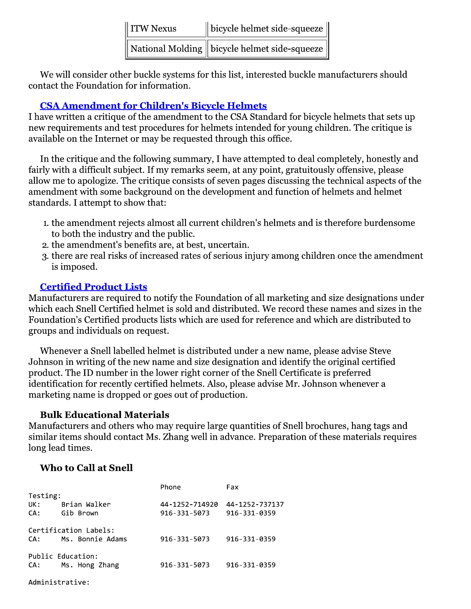| I ITW Nexus | $\parallel$ bicycle helmet side-squeeze $\parallel$                              |
|-------------|----------------------------------------------------------------------------------|
|             | $\parallel$ National Molding $\parallel$ bicycle helmet side-squeeze $\parallel$ |

We will consider other buckle systems for this list, interested buckle manufacturers should contact the Foundation for information.

### **CSA Amendment for Children's Bicycle Helmets**

I have written a critique of the amendment to the CSA Standard for bicycle helmets that sets up new requirements and test procedures for helmets intended for young children. The critique is available on the Internet or may be requested through this office.

In the critique and the following summary, I have attempted to deal completely, honestly and fairly with a difficult subject. If my remarks seem, at any point, gratuitously offensive, please allow me to apologize. The critique consists of seven pages discussing the technical aspects of the amendment with some background on the development and function of helmets and helmet standards. I attempt to show that:

- 1. the amendment rejects almost all current children's helmets and is therefore burdensome to both the industry and the public.
- 2. the amendment's benefits are, at best, uncertain.
- 3. there are real risks of increased rates of serious injury among children once the amendment is imposed.

## **Certified Product Lists**

Manufacturers are required to notify the Foundation of all marketing and size designations under which each Snell Certified helmet is sold and distributed. We record these names and sizes in the Foundation's Certified products lists which are used for reference and which are distributed to groups and individuals on request.

Whenever a Snell labelled helmet is distributed under a new name, please advise Steve Johnson in writing of the new name and size designation and identify the original certified product. The ID number in the lower right corner of the Snell Certificate is preferred identification for recently certified helmets. Also, please advise Mr. Johnson whenever a marketing name is dropped or goes out of production.

## **Bulk Educational Materials**

Manufacturers and others who may require large quantities of Snell brochures, hang tags and similar items should contact Ms. Zhang well in advance. Preparation of these materials requires long lead times.

## **Who to Call at Snell**

|                   |                       | Phone          | Fax            |  |  |  |
|-------------------|-----------------------|----------------|----------------|--|--|--|
| Testing:          |                       |                |                |  |  |  |
| UK:               | Brian Walker          | 44-1252-714920 | 44-1252-737137 |  |  |  |
| CA:               | Gib Brown             | 916-331-5073   | 916-331-0359   |  |  |  |
|                   |                       |                |                |  |  |  |
|                   | Certification Labels: |                |                |  |  |  |
| CA:               | Ms. Bonnie Adams      | 916-331-5073   | 916-331-0359   |  |  |  |
| Public Education: |                       |                |                |  |  |  |
| CA:               | Ms. Hong Zhang        | 916-331-5073   | 916-331-0359   |  |  |  |
|                   |                       |                |                |  |  |  |
|                   |                       |                |                |  |  |  |